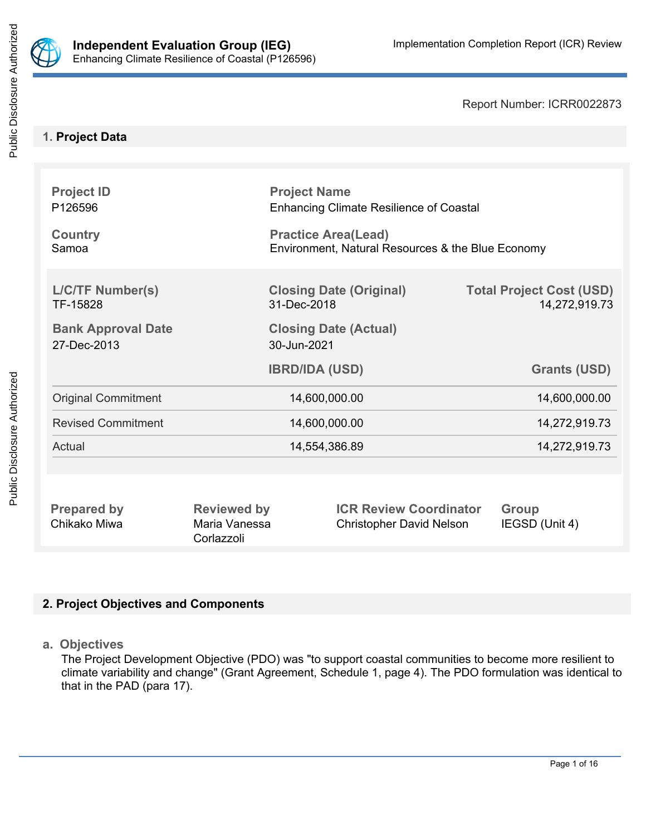

Report Number: ICRR0022873

# **1. Project Data**

| <b>Project ID</b><br>P126596<br><b>Country</b><br>Samoa |                                             | <b>Project Name</b><br><b>Enhancing Climate Resilience of Coastal</b><br><b>Practice Area(Lead)</b><br>Environment, Natural Resources & the Blue Economy |  |                                                  |  |
|---------------------------------------------------------|---------------------------------------------|----------------------------------------------------------------------------------------------------------------------------------------------------------|--|--------------------------------------------------|--|
| <b>L/C/TF Number(s)</b><br>TF-15828                     |                                             | <b>Closing Date (Original)</b><br>31-Dec-2018                                                                                                            |  | <b>Total Project Cost (USD)</b><br>14,272,919.73 |  |
| <b>Bank Approval Date</b><br>27-Dec-2013                | <b>Closing Date (Actual)</b><br>30-Jun-2021 |                                                                                                                                                          |  |                                                  |  |
|                                                         |                                             | <b>IBRD/IDA (USD)</b>                                                                                                                                    |  | <b>Grants (USD)</b>                              |  |
| <b>Original Commitment</b>                              |                                             | 14,600,000.00                                                                                                                                            |  | 14,600,000.00                                    |  |
| <b>Revised Commitment</b>                               | 14,600,000.00                               |                                                                                                                                                          |  | 14,272,919.73                                    |  |
| Actual                                                  | 14,554,386.89                               |                                                                                                                                                          |  | 14,272,919.73                                    |  |
|                                                         |                                             |                                                                                                                                                          |  |                                                  |  |
| <b>Prepared by</b><br>Chikako Miwa                      | <b>Reviewed by</b><br>Maria Vanessa         | <b>ICR Review Coordinator</b><br><b>Christopher David Nelson</b>                                                                                         |  | Group<br>IEGSD (Unit 4)                          |  |

# **2. Project Objectives and Components**

Corlazzoli

**a. Objectives**

The Project Development Objective (PDO) was "to support coastal communities to become more resilient to climate variability and change" (Grant Agreement, Schedule 1, page 4). The PDO formulation was identical to that in the PAD (para 17).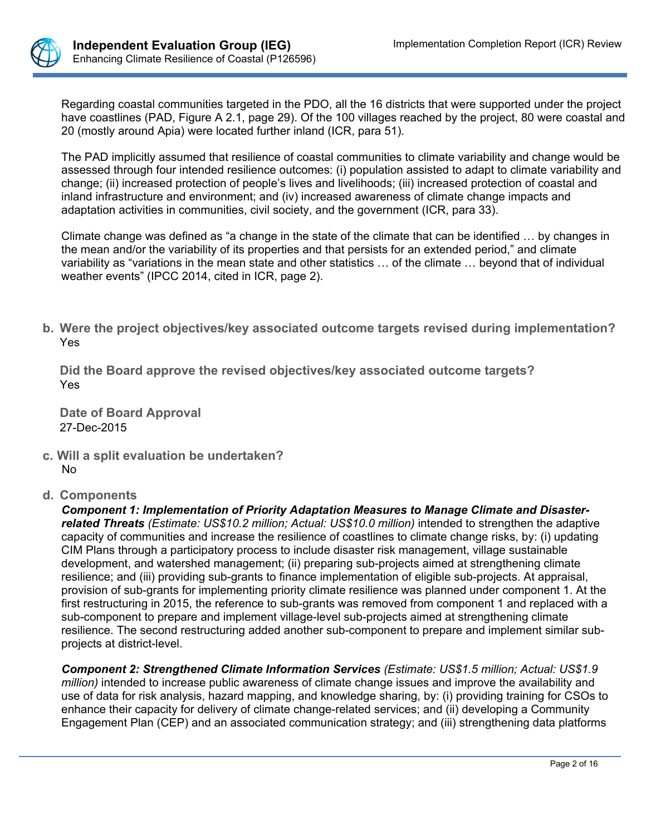

Regarding coastal communities targeted in the PDO, all the 16 districts that were supported under the project have coastlines (PAD, Figure A 2.1, page 29). Of the 100 villages reached by the project, 80 were coastal and 20 (mostly around Apia) were located further inland (ICR, para 51).

The PAD implicitly assumed that resilience of coastal communities to climate variability and change would be assessed through four intended resilience outcomes: (i) population assisted to adapt to climate variability and change; (ii) increased protection of people's lives and livelihoods; (iii) increased protection of coastal and inland infrastructure and environment; and (iv) increased awareness of climate change impacts and adaptation activities in communities, civil society, and the government (ICR, para 33).

Climate change was defined as "a change in the state of the climate that can be identified … by changes in the mean and/or the variability of its properties and that persists for an extended period," and climate variability as "variations in the mean state and other statistics … of the climate … beyond that of individual weather events" (IPCC 2014, cited in ICR, page 2).

**b. Were the project objectives/key associated outcome targets revised during implementation?** Yes

**Did the Board approve the revised objectives/key associated outcome targets?** Yes

**Date of Board Approval** 27-Dec-2015

- **c. Will a split evaluation be undertaken?** No
- **d. Components**

*Component 1: Implementation of Priority Adaptation Measures to Manage Climate and Disasterrelated Threats (Estimate: US\$10.2 million; Actual: US\$10.0 million)* intended to strengthen the adaptive capacity of communities and increase the resilience of coastlines to climate change risks, by: (i) updating CIM Plans through a participatory process to include disaster risk management, village sustainable development, and watershed management; (ii) preparing sub-projects aimed at strengthening climate resilience; and (iii) providing sub-grants to finance implementation of eligible sub-projects. At appraisal, provision of sub-grants for implementing priority climate resilience was planned under component 1. At the first restructuring in 2015, the reference to sub-grants was removed from component 1 and replaced with a sub-component to prepare and implement village-level sub-projects aimed at strengthening climate resilience. The second restructuring added another sub-component to prepare and implement similar subprojects at district-level.

*Component 2: Strengthened Climate Information Services (Estimate: US\$1.5 million; Actual: US\$1.9 million)* intended to increase public awareness of climate change issues and improve the availability and use of data for risk analysis, hazard mapping, and knowledge sharing, by: (i) providing training for CSOs to enhance their capacity for delivery of climate change-related services; and (ii) developing a Community Engagement Plan (CEP) and an associated communication strategy; and (iii) strengthening data platforms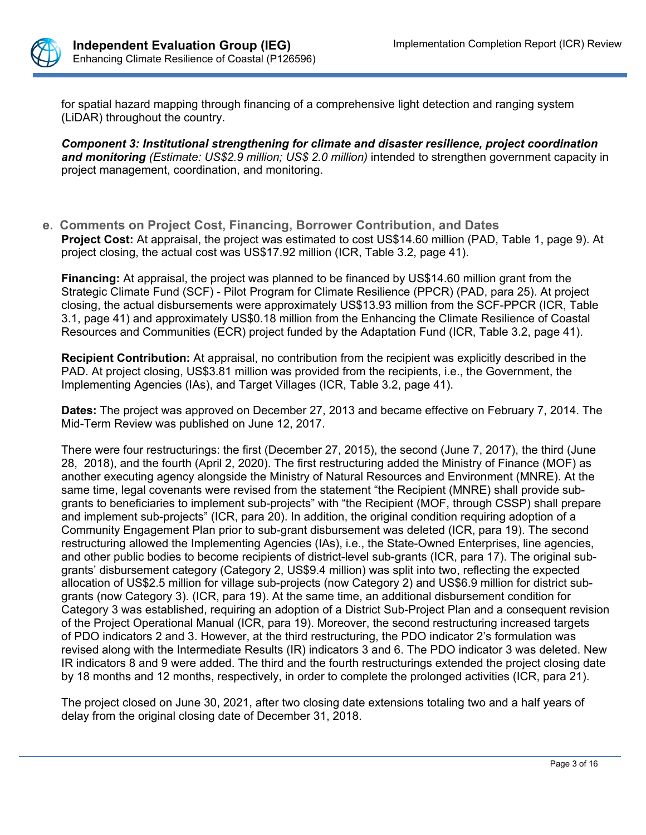

for spatial hazard mapping through financing of a comprehensive light detection and ranging system (LiDAR) throughout the country.

*Component 3: Institutional strengthening for climate and disaster resilience, project coordination and monitoring (Estimate: US\$2.9 million; US\$ 2.0 million)* intended to strengthen government capacity in project management, coordination, and monitoring.

**e. Comments on Project Cost, Financing, Borrower Contribution, and Dates Project Cost:** At appraisal, the project was estimated to cost US\$14.60 million (PAD, Table 1, page 9). At project closing, the actual cost was US\$17.92 million (ICR, Table 3.2, page 41).

**Financing:** At appraisal, the project was planned to be financed by US\$14.60 million grant from the Strategic Climate Fund (SCF) - Pilot Program for Climate Resilience (PPCR) (PAD, para 25). At project closing, the actual disbursements were approximately US\$13.93 million from the SCF-PPCR (ICR, Table 3.1, page 41) and approximately US\$0.18 million from the Enhancing the Climate Resilience of Coastal Resources and Communities (ECR) project funded by the Adaptation Fund (ICR, Table 3.2, page 41).

**Recipient Contribution:** At appraisal, no contribution from the recipient was explicitly described in the PAD. At project closing, US\$3.81 million was provided from the recipients, i.e., the Government, the Implementing Agencies (IAs), and Target Villages (ICR, Table 3.2, page 41).

**Dates:** The project was approved on December 27, 2013 and became effective on February 7, 2014. The Mid-Term Review was published on June 12, 2017.

There were four restructurings: the first (December 27, 2015), the second (June 7, 2017), the third (June 28, 2018), and the fourth (April 2, 2020). The first restructuring added the Ministry of Finance (MOF) as another executing agency alongside the Ministry of Natural Resources and Environment (MNRE). At the same time, legal covenants were revised from the statement "the Recipient (MNRE) shall provide subgrants to beneficiaries to implement sub-projects" with "the Recipient (MOF, through CSSP) shall prepare and implement sub-projects" (ICR, para 20). In addition, the original condition requiring adoption of a Community Engagement Plan prior to sub-grant disbursement was deleted (ICR, para 19). The second restructuring allowed the Implementing Agencies (IAs), i.e., the State-Owned Enterprises, line agencies, and other public bodies to become recipients of district-level sub-grants (ICR, para 17). The original subgrants' disbursement category (Category 2, US\$9.4 million) was split into two, reflecting the expected allocation of US\$2.5 million for village sub-projects (now Category 2) and US\$6.9 million for district subgrants (now Category 3). (ICR, para 19). At the same time, an additional disbursement condition for Category 3 was established, requiring an adoption of a District Sub-Project Plan and a consequent revision of the Project Operational Manual (ICR, para 19). Moreover, the second restructuring increased targets of PDO indicators 2 and 3. However, at the third restructuring, the PDO indicator 2's formulation was revised along with the Intermediate Results (IR) indicators 3 and 6. The PDO indicator 3 was deleted. New IR indicators 8 and 9 were added. The third and the fourth restructurings extended the project closing date by 18 months and 12 months, respectively, in order to complete the prolonged activities (ICR, para 21).

The project closed on June 30, 2021, after two closing date extensions totaling two and a half years of delay from the original closing date of December 31, 2018.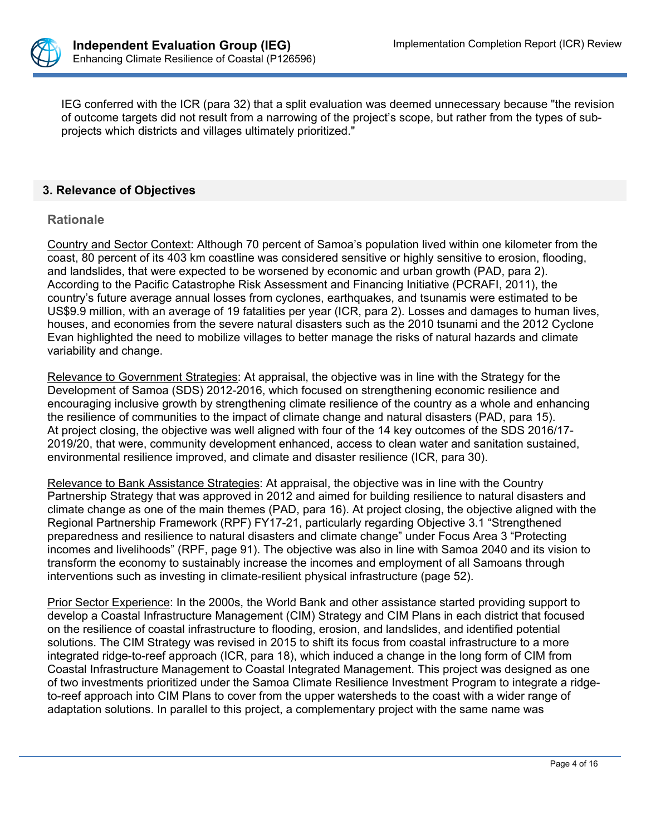

IEG conferred with the ICR (para 32) that a split evaluation was deemed unnecessary because "the revision of outcome targets did not result from a narrowing of the project's scope, but rather from the types of subprojects which districts and villages ultimately prioritized."

#### **3. Relevance of Objectives**

#### **Rationale**

Country and Sector Context: Although 70 percent of Samoa's population lived within one kilometer from the coast, 80 percent of its 403 km coastline was considered sensitive or highly sensitive to erosion, flooding, and landslides, that were expected to be worsened by economic and urban growth (PAD, para 2). According to the Pacific Catastrophe Risk Assessment and Financing Initiative (PCRAFI, 2011), the country's future average annual losses from cyclones, earthquakes, and tsunamis were estimated to be US\$9.9 million, with an average of 19 fatalities per year (ICR, para 2). Losses and damages to human lives, houses, and economies from the severe natural disasters such as the 2010 tsunami and the 2012 Cyclone Evan highlighted the need to mobilize villages to better manage the risks of natural hazards and climate variability and change.

Relevance to Government Strategies: At appraisal, the objective was in line with the Strategy for the Development of Samoa (SDS) 2012-2016, which focused on strengthening economic resilience and encouraging inclusive growth by strengthening climate resilience of the country as a whole and enhancing the resilience of communities to the impact of climate change and natural disasters (PAD, para 15). At project closing, the objective was well aligned with four of the 14 key outcomes of the SDS 2016/17- 2019/20, that were, community development enhanced, access to clean water and sanitation sustained, environmental resilience improved, and climate and disaster resilience (ICR, para 30).

Relevance to Bank Assistance Strategies: At appraisal, the objective was in line with the Country Partnership Strategy that was approved in 2012 and aimed for building resilience to natural disasters and climate change as one of the main themes (PAD, para 16). At project closing, the objective aligned with the Regional Partnership Framework (RPF) FY17-21, particularly regarding Objective 3.1 "Strengthened preparedness and resilience to natural disasters and climate change" under Focus Area 3 "Protecting incomes and livelihoods" (RPF, page 91). The objective was also in line with Samoa 2040 and its vision to transform the economy to sustainably increase the incomes and employment of all Samoans through interventions such as investing in climate-resilient physical infrastructure (page 52).

Prior Sector Experience: In the 2000s, the World Bank and other assistance started providing support to develop a Coastal Infrastructure Management (CIM) Strategy and CIM Plans in each district that focused on the resilience of coastal infrastructure to flooding, erosion, and landslides, and identified potential solutions. The CIM Strategy was revised in 2015 to shift its focus from coastal infrastructure to a more integrated ridge-to-reef approach (ICR, para 18), which induced a change in the long form of CIM from Coastal Infrastructure Management to Coastal Integrated Management. This project was designed as one of two investments prioritized under the Samoa Climate Resilience Investment Program to integrate a ridgeto-reef approach into CIM Plans to cover from the upper watersheds to the coast with a wider range of adaptation solutions. In parallel to this project, a complementary project with the same name was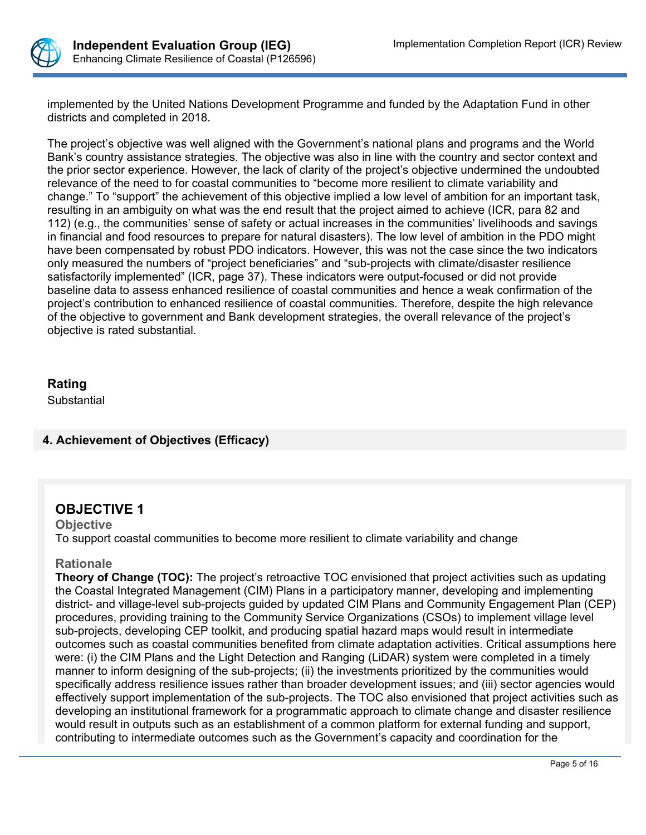

implemented by the United Nations Development Programme and funded by the Adaptation Fund in other districts and completed in 2018.

The project's objective was well aligned with the Government's national plans and programs and the World Bank's country assistance strategies. The objective was also in line with the country and sector context and the prior sector experience. However, the lack of clarity of the project's objective undermined the undoubted relevance of the need to for coastal communities to "become more resilient to climate variability and change." To "support" the achievement of this objective implied a low level of ambition for an important task, resulting in an ambiguity on what was the end result that the project aimed to achieve (ICR, para 82 and 112) (e.g., the communities' sense of safety or actual increases in the communities' livelihoods and savings in financial and food resources to prepare for natural disasters). The low level of ambition in the PDO might have been compensated by robust PDO indicators. However, this was not the case since the two indicators only measured the numbers of "project beneficiaries" and "sub-projects with climate/disaster resilience satisfactorily implemented" (ICR, page 37). These indicators were output-focused or did not provide baseline data to assess enhanced resilience of coastal communities and hence a weak confirmation of the project's contribution to enhanced resilience of coastal communities. Therefore, despite the high relevance of the objective to government and Bank development strategies, the overall relevance of the project's objective is rated substantial.

## **Rating**

**Substantial** 

# **4. Achievement of Objectives (Efficacy)**

# **OBJECTIVE 1**

**Objective** To support coastal communities to become more resilient to climate variability and change

## **Rationale**

**Theory of Change (TOC):** The project's retroactive TOC envisioned that project activities such as updating the Coastal Integrated Management (CIM) Plans in a participatory manner, developing and implementing district- and village-level sub-projects guided by updated CIM Plans and Community Engagement Plan (CEP) procedures, providing training to the Community Service Organizations (CSOs) to implement village level sub-projects, developing CEP toolkit, and producing spatial hazard maps would result in intermediate outcomes such as coastal communities benefited from climate adaptation activities. Critical assumptions here were: (i) the CIM Plans and the Light Detection and Ranging (LiDAR) system were completed in a timely manner to inform designing of the sub-projects; (ii) the investments prioritized by the communities would specifically address resilience issues rather than broader development issues; and (iii) sector agencies would effectively support implementation of the sub-projects. The TOC also envisioned that project activities such as developing an institutional framework for a programmatic approach to climate change and disaster resilience would result in outputs such as an establishment of a common platform for external funding and support, contributing to intermediate outcomes such as the Government's capacity and coordination for the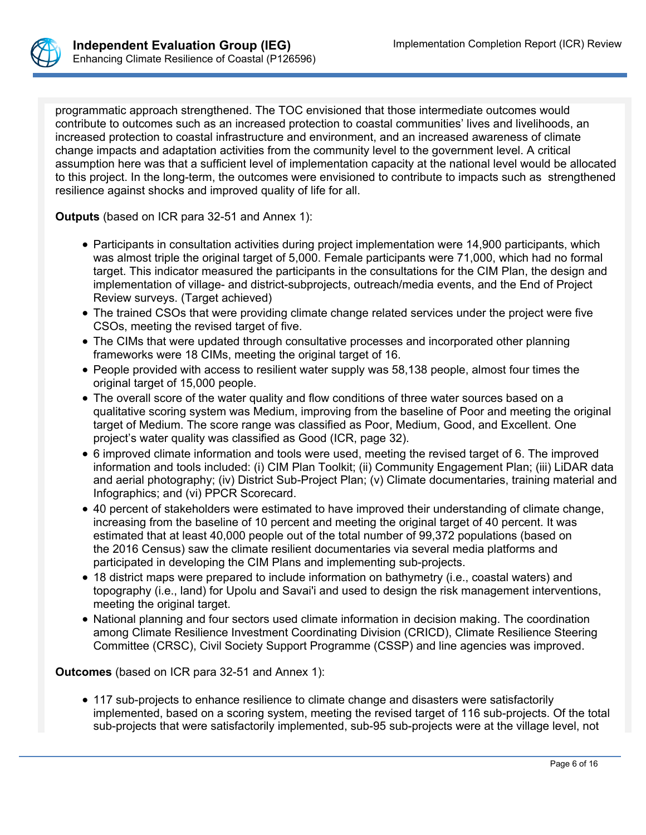

programmatic approach strengthened. The TOC envisioned that those intermediate outcomes would contribute to outcomes such as an increased protection to coastal communities' lives and livelihoods, an increased protection to coastal infrastructure and environment, and an increased awareness of climate change impacts and adaptation activities from the community level to the government level. A critical assumption here was that a sufficient level of implementation capacity at the national level would be allocated to this project. In the long-term, the outcomes were envisioned to contribute to impacts such as strengthened resilience against shocks and improved quality of life for all.

**Outputs** (based on ICR para 32-51 and Annex 1):

- Participants in consultation activities during project implementation were 14,900 participants, which was almost triple the original target of 5,000. Female participants were 71,000, which had no formal target. This indicator measured the participants in the consultations for the CIM Plan, the design and implementation of village- and district-subprojects, outreach/media events, and the End of Project Review surveys. (Target achieved)
- The trained CSOs that were providing climate change related services under the project were five CSOs, meeting the revised target of five.
- The CIMs that were updated through consultative processes and incorporated other planning frameworks were 18 CIMs, meeting the original target of 16.
- People provided with access to resilient water supply was 58,138 people, almost four times the original target of 15,000 people.
- The overall score of the water quality and flow conditions of three water sources based on a qualitative scoring system was Medium, improving from the baseline of Poor and meeting the original target of Medium. The score range was classified as Poor, Medium, Good, and Excellent. One project's water quality was classified as Good (ICR, page 32).
- 6 improved climate information and tools were used, meeting the revised target of 6. The improved information and tools included: (i) CIM Plan Toolkit; (ii) Community Engagement Plan; (iii) LiDAR data and aerial photography; (iv) District Sub-Project Plan; (v) Climate documentaries, training material and Infographics; and (vi) PPCR Scorecard.
- 40 percent of stakeholders were estimated to have improved their understanding of climate change, increasing from the baseline of 10 percent and meeting the original target of 40 percent. It was estimated that at least 40,000 people out of the total number of 99,372 populations (based on the 2016 Census) saw the climate resilient documentaries via several media platforms and participated in developing the CIM Plans and implementing sub-projects.
- 18 district maps were prepared to include information on bathymetry (i.e., coastal waters) and topography (i.e., land) for Upolu and Savai'i and used to design the risk management interventions, meeting the original target.
- National planning and four sectors used climate information in decision making. The coordination among Climate Resilience Investment Coordinating Division (CRICD), Climate Resilience Steering Committee (CRSC), Civil Society Support Programme (CSSP) and line agencies was improved.

**Outcomes** (based on ICR para 32-51 and Annex 1):

 117 sub-projects to enhance resilience to climate change and disasters were satisfactorily implemented, based on a scoring system, meeting the revised target of 116 sub-projects. Of the total sub-projects that were satisfactorily implemented, sub-95 sub-projects were at the village level, not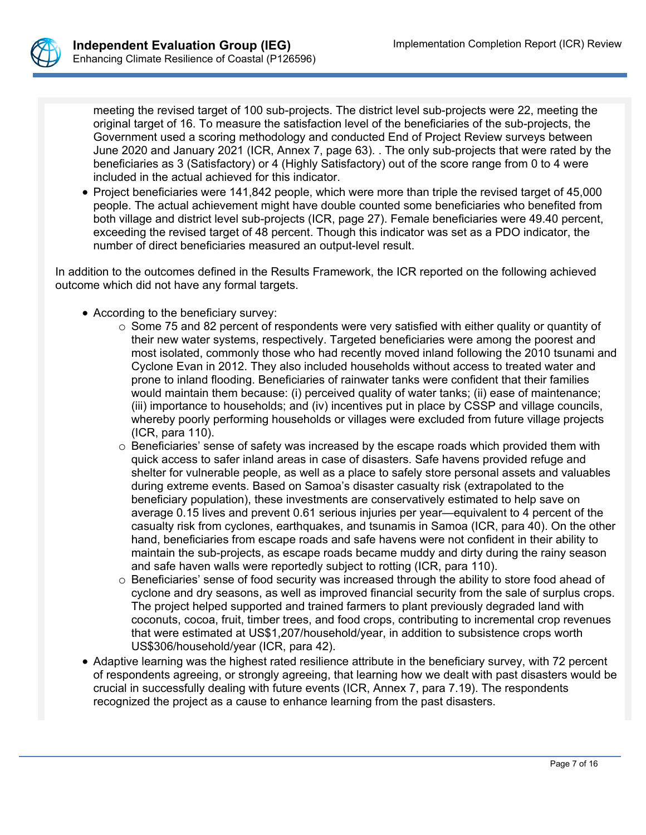

meeting the revised target of 100 sub-projects. The district level sub-projects were 22, meeting the original target of 16. To measure the satisfaction level of the beneficiaries of the sub-projects, the Government used a scoring methodology and conducted End of Project Review surveys between June 2020 and January 2021 (ICR, Annex 7, page 63). . The only sub-projects that were rated by the beneficiaries as 3 (Satisfactory) or 4 (Highly Satisfactory) out of the score range from 0 to 4 were included in the actual achieved for this indicator.

• Project beneficiaries were 141,842 people, which were more than triple the revised target of 45.000 people. The actual achievement might have double counted some beneficiaries who benefited from both village and district level sub-projects (ICR, page 27). Female beneficiaries were 49.40 percent, exceeding the revised target of 48 percent. Though this indicator was set as a PDO indicator, the number of direct beneficiaries measured an output-level result.

In addition to the outcomes defined in the Results Framework, the ICR reported on the following achieved outcome which did not have any formal targets.

- According to the beneficiary survey:
	- $\circ$  Some 75 and 82 percent of respondents were very satisfied with either quality or quantity of their new water systems, respectively. Targeted beneficiaries were among the poorest and most isolated, commonly those who had recently moved inland following the 2010 tsunami and Cyclone Evan in 2012. They also included households without access to treated water and prone to inland flooding. Beneficiaries of rainwater tanks were confident that their families would maintain them because: (i) perceived quality of water tanks; (ii) ease of maintenance; (iii) importance to households; and (iv) incentives put in place by CSSP and village councils, whereby poorly performing households or villages were excluded from future village projects (ICR, para 110).
	- o Beneficiaries' sense of safety was increased by the escape roads which provided them with quick access to safer inland areas in case of disasters. Safe havens provided refuge and shelter for vulnerable people, as well as a place to safely store personal assets and valuables during extreme events. Based on Samoa's disaster casualty risk (extrapolated to the beneficiary population), these investments are conservatively estimated to help save on average 0.15 lives and prevent 0.61 serious injuries per year—equivalent to 4 percent of the casualty risk from cyclones, earthquakes, and tsunamis in Samoa (ICR, para 40). On the other hand, beneficiaries from escape roads and safe havens were not confident in their ability to maintain the sub-projects, as escape roads became muddy and dirty during the rainy season and safe haven walls were reportedly subject to rotting (ICR, para 110).
	- o Beneficiaries' sense of food security was increased through the ability to store food ahead of cyclone and dry seasons, as well as improved financial security from the sale of surplus crops. The project helped supported and trained farmers to plant previously degraded land with coconuts, cocoa, fruit, timber trees, and food crops, contributing to incremental crop revenues that were estimated at US\$1,207/household/year, in addition to subsistence crops worth US\$306/household/year (ICR, para 42).
- Adaptive learning was the highest rated resilience attribute in the beneficiary survey, with 72 percent of respondents agreeing, or strongly agreeing, that learning how we dealt with past disasters would be crucial in successfully dealing with future events (ICR, Annex 7, para 7.19). The respondents recognized the project as a cause to enhance learning from the past disasters.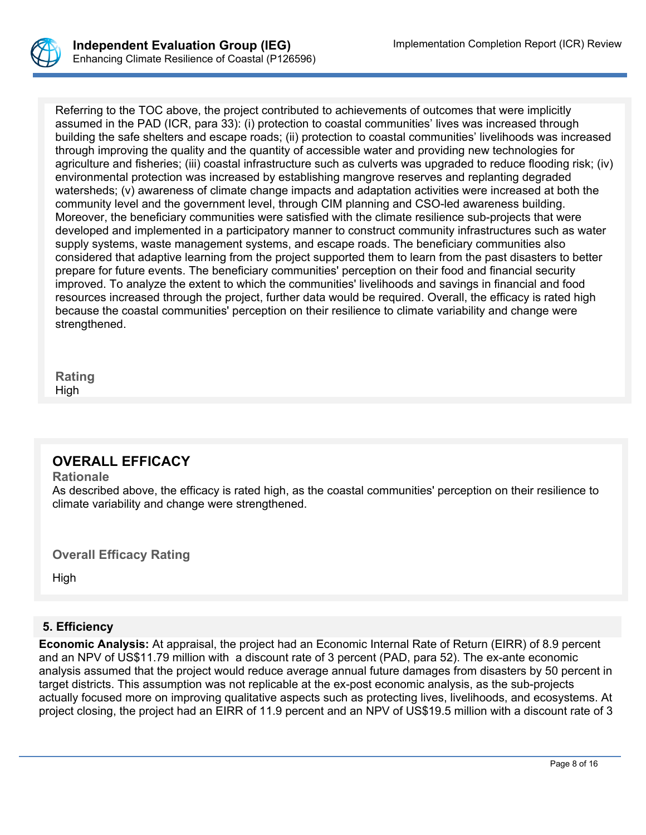

Referring to the TOC above, the project contributed to achievements of outcomes that were implicitly assumed in the PAD (ICR, para 33): (i) protection to coastal communities' lives was increased through building the safe shelters and escape roads; (ii) protection to coastal communities' livelihoods was increased through improving the quality and the quantity of accessible water and providing new technologies for agriculture and fisheries; (iii) coastal infrastructure such as culverts was upgraded to reduce flooding risk; (iv) environmental protection was increased by establishing mangrove reserves and replanting degraded watersheds; (v) awareness of climate change impacts and adaptation activities were increased at both the community level and the government level, through CIM planning and CSO-led awareness building. Moreover, the beneficiary communities were satisfied with the climate resilience sub-projects that were developed and implemented in a participatory manner to construct community infrastructures such as water supply systems, waste management systems, and escape roads. The beneficiary communities also considered that adaptive learning from the project supported them to learn from the past disasters to better prepare for future events. The beneficiary communities' perception on their food and financial security improved. To analyze the extent to which the communities' livelihoods and savings in financial and food resources increased through the project, further data would be required. Overall, the efficacy is rated high because the coastal communities' perception on their resilience to climate variability and change were strengthened.

**Rating** High

# **OVERALL EFFICACY**

#### **Rationale**

As described above, the efficacy is rated high, as the coastal communities' perception on their resilience to climate variability and change were strengthened.

**Overall Efficacy Rating**

High

# **5. Efficiency**

**Economic Analysis:** At appraisal, the project had an Economic Internal Rate of Return (EIRR) of 8.9 percent and an NPV of US\$11.79 million with a discount rate of 3 percent (PAD, para 52). The ex-ante economic analysis assumed that the project would reduce average annual future damages from disasters by 50 percent in target districts. This assumption was not replicable at the ex-post economic analysis, as the sub-projects actually focused more on improving qualitative aspects such as protecting lives, livelihoods, and ecosystems. At project closing, the project had an EIRR of 11.9 percent and an NPV of US\$19.5 million with a discount rate of 3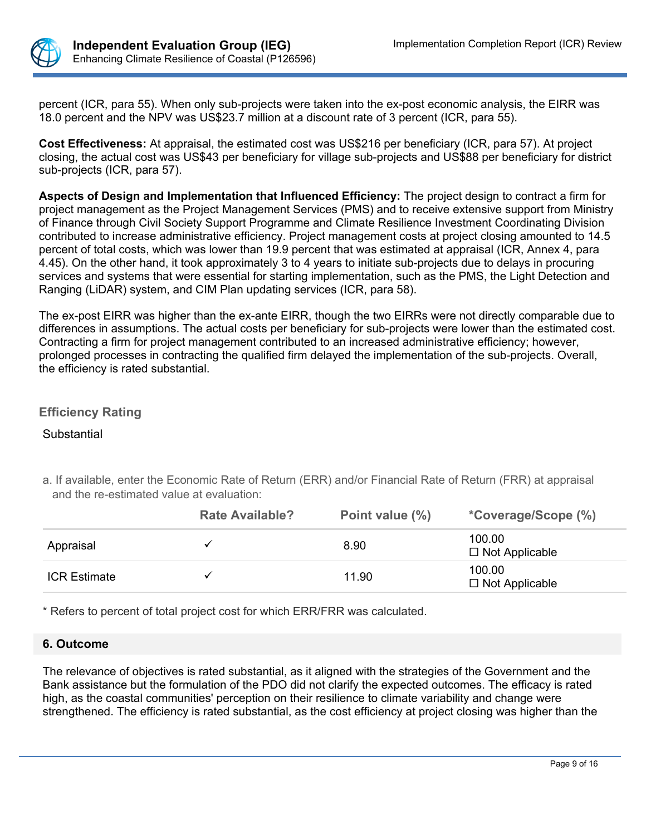

percent (ICR, para 55). When only sub-projects were taken into the ex-post economic analysis, the EIRR was 18.0 percent and the NPV was US\$23.7 million at a discount rate of 3 percent (ICR, para 55).

**Cost Effectiveness:** At appraisal, the estimated cost was US\$216 per beneficiary (ICR, para 57). At project closing, the actual cost was US\$43 per beneficiary for village sub-projects and US\$88 per beneficiary for district sub-projects (ICR, para 57).

**Aspects of Design and Implementation that Influenced Efficiency:** The project design to contract a firm for project management as the Project Management Services (PMS) and to receive extensive support from Ministry of Finance through Civil Society Support Programme and Climate Resilience Investment Coordinating Division contributed to increase administrative efficiency. Project management costs at project closing amounted to 14.5 percent of total costs, which was lower than 19.9 percent that was estimated at appraisal (ICR, Annex 4, para 4.45). On the other hand, it took approximately 3 to 4 years to initiate sub-projects due to delays in procuring services and systems that were essential for starting implementation, such as the PMS, the Light Detection and Ranging (LiDAR) system, and CIM Plan updating services (ICR, para 58).

The ex-post EIRR was higher than the ex-ante EIRR, though the two EIRRs were not directly comparable due to differences in assumptions. The actual costs per beneficiary for sub-projects were lower than the estimated cost. Contracting a firm for project management contributed to an increased administrative efficiency; however, prolonged processes in contracting the qualified firm delayed the implementation of the sub-projects. Overall, the efficiency is rated substantial.

# **Efficiency Rating**

## **Substantial**

|                     | <b>Rate Available?</b> | Point value (%) | <i>*Coverage/Scope (%)</i>      |
|---------------------|------------------------|-----------------|---------------------------------|
| Appraisal           |                        | 8.90            | 100.00<br>$\Box$ Not Applicable |
| <b>ICR Estimate</b> |                        | 11.90           | 100.00<br>$\Box$ Not Applicable |

a. If available, enter the Economic Rate of Return (ERR) and/or Financial Rate of Return (FRR) at appraisal and the re-estimated value at evaluation:

\* Refers to percent of total project cost for which ERR/FRR was calculated.

## **6. Outcome**

The relevance of objectives is rated substantial, as it aligned with the strategies of the Government and the Bank assistance but the formulation of the PDO did not clarify the expected outcomes. The efficacy is rated high, as the coastal communities' perception on their resilience to climate variability and change were strengthened. The efficiency is rated substantial, as the cost efficiency at project closing was higher than the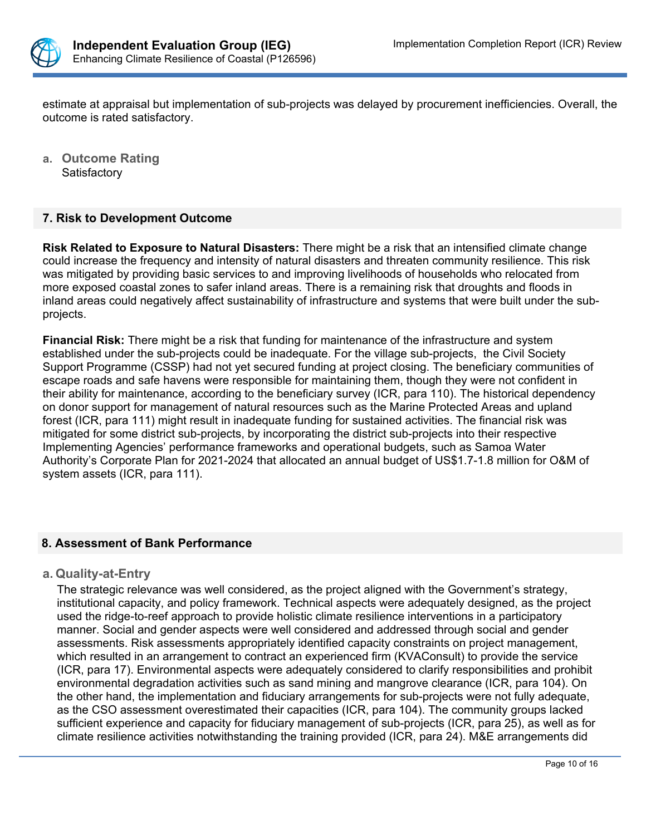

estimate at appraisal but implementation of sub-projects was delayed by procurement inefficiencies. Overall, the outcome is rated satisfactory.

**a. Outcome Rating Satisfactory** 

## **7. Risk to Development Outcome**

**Risk Related to Exposure to Natural Disasters:** There might be a risk that an intensified climate change could increase the frequency and intensity of natural disasters and threaten community resilience. This risk was mitigated by providing basic services to and improving livelihoods of households who relocated from more exposed coastal zones to safer inland areas. There is a remaining risk that droughts and floods in inland areas could negatively affect sustainability of infrastructure and systems that were built under the subprojects.

**Financial Risk:** There might be a risk that funding for maintenance of the infrastructure and system established under the sub-projects could be inadequate. For the village sub-projects, the Civil Society Support Programme (CSSP) had not yet secured funding at project closing. The beneficiary communities of escape roads and safe havens were responsible for maintaining them, though they were not confident in their ability for maintenance, according to the beneficiary survey (ICR, para 110). The historical dependency on donor support for management of natural resources such as the Marine Protected Areas and upland forest (ICR, para 111) might result in inadequate funding for sustained activities. The financial risk was mitigated for some district sub-projects, by incorporating the district sub-projects into their respective Implementing Agencies' performance frameworks and operational budgets, such as Samoa Water Authority's Corporate Plan for 2021-2024 that allocated an annual budget of US\$1.7-1.8 million for O&M of system assets (ICR, para 111).

## **8. Assessment of Bank Performance**

## **a. Quality-at-Entry**

The strategic relevance was well considered, as the project aligned with the Government's strategy, institutional capacity, and policy framework. Technical aspects were adequately designed, as the project used the ridge-to-reef approach to provide holistic climate resilience interventions in a participatory manner. Social and gender aspects were well considered and addressed through social and gender assessments. Risk assessments appropriately identified capacity constraints on project management, which resulted in an arrangement to contract an experienced firm (KVAConsult) to provide the service (ICR, para 17). Environmental aspects were adequately considered to clarify responsibilities and prohibit environmental degradation activities such as sand mining and mangrove clearance (ICR, para 104). On the other hand, the implementation and fiduciary arrangements for sub-projects were not fully adequate, as the CSO assessment overestimated their capacities (ICR, para 104). The community groups lacked sufficient experience and capacity for fiduciary management of sub-projects (ICR, para 25), as well as for climate resilience activities notwithstanding the training provided (ICR, para 24). M&E arrangements did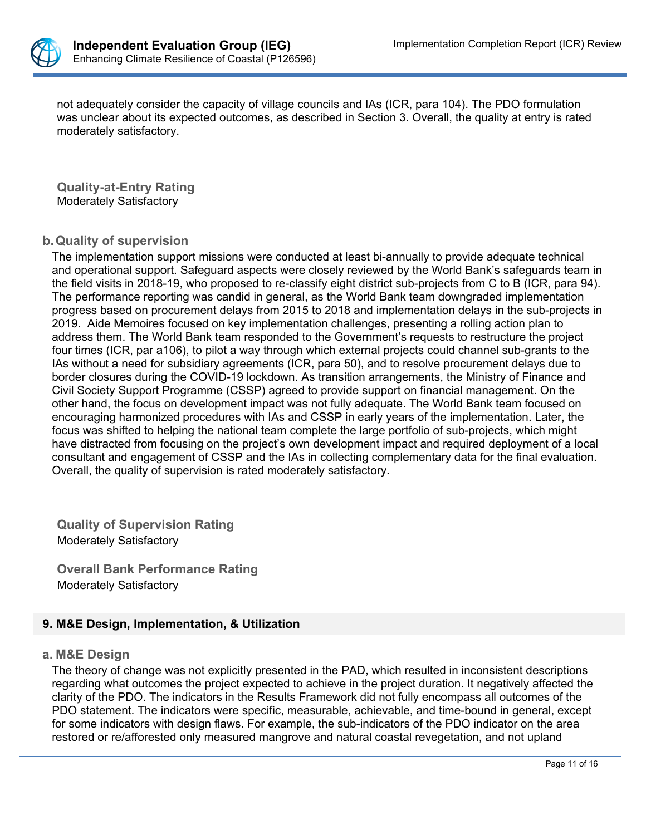

not adequately consider the capacity of village councils and IAs (ICR, para 104). The PDO formulation was unclear about its expected outcomes, as described in Section 3. Overall, the quality at entry is rated moderately satisfactory.

**Quality-at-Entry Rating** Moderately Satisfactory

## **b.Quality of supervision**

The implementation support missions were conducted at least bi-annually to provide adequate technical and operational support. Safeguard aspects were closely reviewed by the World Bank's safeguards team in the field visits in 2018-19, who proposed to re-classify eight district sub-projects from C to B (ICR, para 94). The performance reporting was candid in general, as the World Bank team downgraded implementation progress based on procurement delays from 2015 to 2018 and implementation delays in the sub-projects in 2019. Aide Memoires focused on key implementation challenges, presenting a rolling action plan to address them. The World Bank team responded to the Government's requests to restructure the project four times (ICR, par a106), to pilot a way through which external projects could channel sub-grants to the IAs without a need for subsidiary agreements (ICR, para 50), and to resolve procurement delays due to border closures during the COVID-19 lockdown. As transition arrangements, the Ministry of Finance and Civil Society Support Programme (CSSP) agreed to provide support on financial management. On the other hand, the focus on development impact was not fully adequate. The World Bank team focused on encouraging harmonized procedures with IAs and CSSP in early years of the implementation. Later, the focus was shifted to helping the national team complete the large portfolio of sub-projects, which might have distracted from focusing on the project's own development impact and required deployment of a local consultant and engagement of CSSP and the IAs in collecting complementary data for the final evaluation. Overall, the quality of supervision is rated moderately satisfactory.

**Quality of Supervision Rating**  Moderately Satisfactory

**Overall Bank Performance Rating** Moderately Satisfactory

## **9. M&E Design, Implementation, & Utilization**

#### **a. M&E Design**

The theory of change was not explicitly presented in the PAD, which resulted in inconsistent descriptions regarding what outcomes the project expected to achieve in the project duration. It negatively affected the clarity of the PDO. The indicators in the Results Framework did not fully encompass all outcomes of the PDO statement. The indicators were specific, measurable, achievable, and time-bound in general, except for some indicators with design flaws. For example, the sub-indicators of the PDO indicator on the area restored or re/afforested only measured mangrove and natural coastal revegetation, and not upland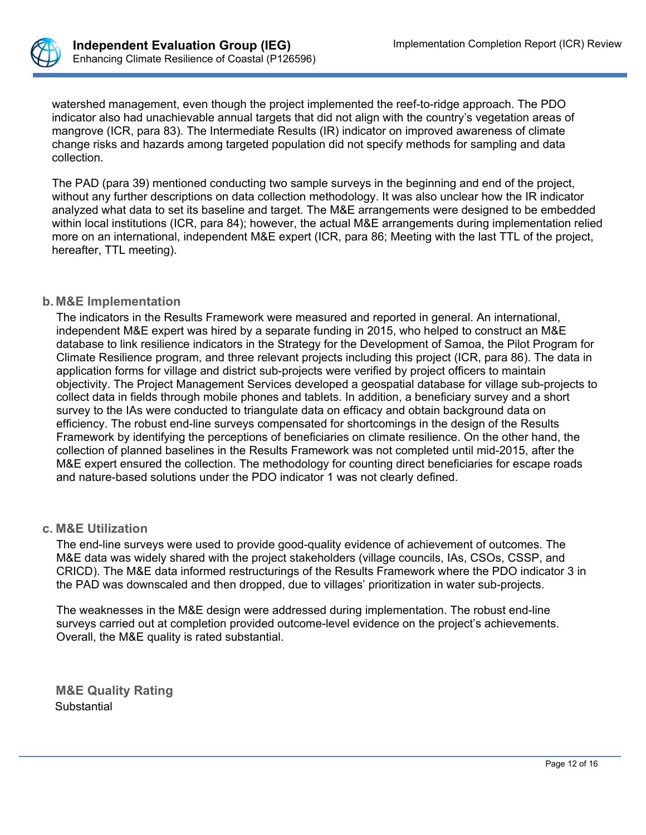

watershed management, even though the project implemented the reef-to-ridge approach. The PDO indicator also had unachievable annual targets that did not align with the country's vegetation areas of mangrove (ICR, para 83). The Intermediate Results (IR) indicator on improved awareness of climate change risks and hazards among targeted population did not specify methods for sampling and data collection.

The PAD (para 39) mentioned conducting two sample surveys in the beginning and end of the project, without any further descriptions on data collection methodology. It was also unclear how the IR indicator analyzed what data to set its baseline and target. The M&E arrangements were designed to be embedded within local institutions (ICR, para 84); however, the actual M&E arrangements during implementation relied more on an international, independent M&E expert (ICR, para 86; Meeting with the last TTL of the project, hereafter, TTL meeting).

## **b. M&E Implementation**

The indicators in the Results Framework were measured and reported in general. An international, independent M&E expert was hired by a separate funding in 2015, who helped to construct an M&E database to link resilience indicators in the Strategy for the Development of Samoa, the Pilot Program for Climate Resilience program, and three relevant projects including this project (ICR, para 86). The data in application forms for village and district sub-projects were verified by project officers to maintain objectivity. The Project Management Services developed a geospatial database for village sub-projects to collect data in fields through mobile phones and tablets. In addition, a beneficiary survey and a short survey to the IAs were conducted to triangulate data on efficacy and obtain background data on efficiency. The robust end-line surveys compensated for shortcomings in the design of the Results Framework by identifying the perceptions of beneficiaries on climate resilience. On the other hand, the collection of planned baselines in the Results Framework was not completed until mid-2015, after the M&E expert ensured the collection. The methodology for counting direct beneficiaries for escape roads and nature-based solutions under the PDO indicator 1 was not clearly defined.

#### **c. M&E Utilization**

The end-line surveys were used to provide good-quality evidence of achievement of outcomes. The M&E data was widely shared with the project stakeholders (village councils, IAs, CSOs, CSSP, and CRICD). The M&E data informed restructurings of the Results Framework where the PDO indicator 3 in the PAD was downscaled and then dropped, due to villages' prioritization in water sub-projects.

The weaknesses in the M&E design were addressed during implementation. The robust end-line surveys carried out at completion provided outcome-level evidence on the project's achievements. Overall, the M&E quality is rated substantial.

**M&E Quality Rating Substantial**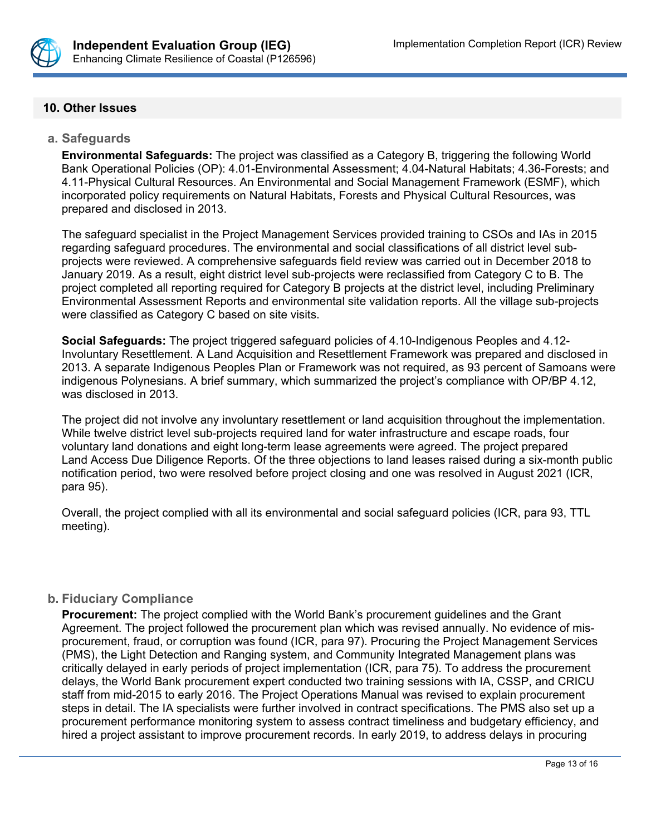

## **10. Other Issues**

#### **a. Safeguards**

**Environmental Safeguards:** The project was classified as a Category B, triggering the following World Bank Operational Policies (OP): 4.01-Environmental Assessment; 4.04-Natural Habitats; 4.36-Forests; and 4.11-Physical Cultural Resources. An Environmental and Social Management Framework (ESMF), which incorporated policy requirements on Natural Habitats, Forests and Physical Cultural Resources, was prepared and disclosed in 2013.

The safeguard specialist in the Project Management Services provided training to CSOs and IAs in 2015 regarding safeguard procedures. The environmental and social classifications of all district level subprojects were reviewed. A comprehensive safeguards field review was carried out in December 2018 to January 2019. As a result, eight district level sub-projects were reclassified from Category C to B. The project completed all reporting required for Category B projects at the district level, including Preliminary Environmental Assessment Reports and environmental site validation reports. All the village sub-projects were classified as Category C based on site visits.

**Social Safeguards:** The project triggered safeguard policies of 4.10-Indigenous Peoples and 4.12- Involuntary Resettlement. A Land Acquisition and Resettlement Framework was prepared and disclosed in 2013. A separate Indigenous Peoples Plan or Framework was not required, as 93 percent of Samoans were indigenous Polynesians. A brief summary, which summarized the project's compliance with OP/BP 4.12, was disclosed in 2013.

The project did not involve any involuntary resettlement or land acquisition throughout the implementation. While twelve district level sub-projects required land for water infrastructure and escape roads, four voluntary land donations and eight long-term lease agreements were agreed. The project prepared Land Access Due Diligence Reports. Of the three objections to land leases raised during a six-month public notification period, two were resolved before project closing and one was resolved in August 2021 (ICR, para 95).

Overall, the project complied with all its environmental and social safeguard policies (ICR, para 93, TTL meeting).

## **b. Fiduciary Compliance**

**Procurement:** The project complied with the World Bank's procurement guidelines and the Grant Agreement. The project followed the procurement plan which was revised annually. No evidence of misprocurement, fraud, or corruption was found (ICR, para 97). Procuring the Project Management Services (PMS), the Light Detection and Ranging system, and Community Integrated Management plans was critically delayed in early periods of project implementation (ICR, para 75). To address the procurement delays, the World Bank procurement expert conducted two training sessions with IA, CSSP, and CRICU staff from mid-2015 to early 2016. The Project Operations Manual was revised to explain procurement steps in detail. The IA specialists were further involved in contract specifications. The PMS also set up a procurement performance monitoring system to assess contract timeliness and budgetary efficiency, and hired a project assistant to improve procurement records. In early 2019, to address delays in procuring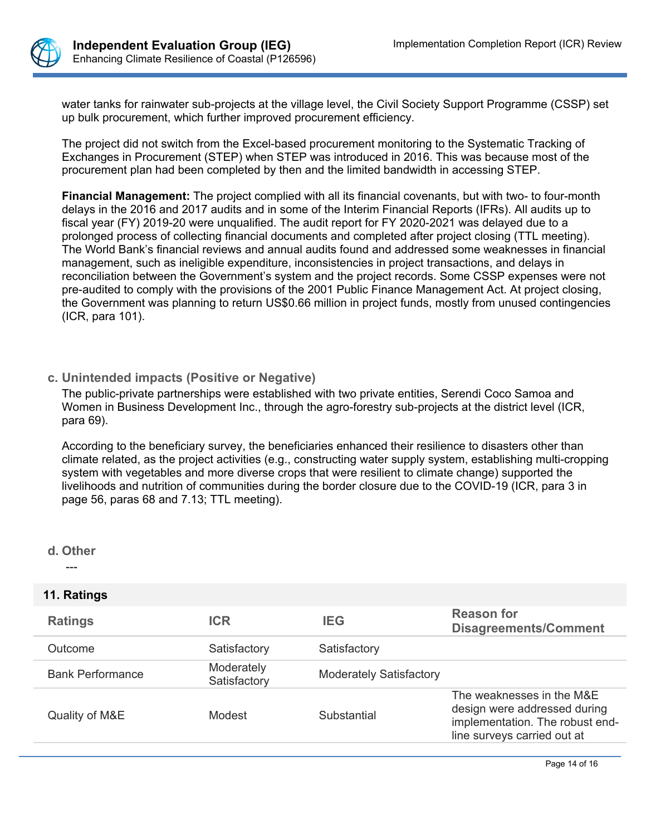

water tanks for rainwater sub-projects at the village level, the Civil Society Support Programme (CSSP) set up bulk procurement, which further improved procurement efficiency.

The project did not switch from the Excel-based procurement monitoring to the Systematic Tracking of Exchanges in Procurement (STEP) when STEP was introduced in 2016. This was because most of the procurement plan had been completed by then and the limited bandwidth in accessing STEP.

**Financial Management:** The project complied with all its financial covenants, but with two- to four-month delays in the 2016 and 2017 audits and in some of the Interim Financial Reports (IFRs). All audits up to fiscal year (FY) 2019-20 were unqualified. The audit report for FY 2020-2021 was delayed due to a prolonged process of collecting financial documents and completed after project closing (TTL meeting). The World Bank's financial reviews and annual audits found and addressed some weaknesses in financial management, such as ineligible expenditure, inconsistencies in project transactions, and delays in reconciliation between the Government's system and the project records. Some CSSP expenses were not pre-audited to comply with the provisions of the 2001 Public Finance Management Act. At project closing, the Government was planning to return US\$0.66 million in project funds, mostly from unused contingencies (ICR, para 101).

## **c. Unintended impacts (Positive or Negative)**

The public-private partnerships were established with two private entities, Serendi Coco Samoa and Women in Business Development Inc., through the agro-forestry sub-projects at the district level (ICR, para 69).

According to the beneficiary survey, the beneficiaries enhanced their resilience to disasters other than climate related, as the project activities (e.g., constructing water supply system, establishing multi-cropping system with vegetables and more diverse crops that were resilient to climate change) supported the livelihoods and nutrition of communities during the border closure due to the COVID-19 (ICR, para 3 in page 56, paras 68 and 7.13; TTL meeting).

## **d. Other**

---

## **11. Ratings**

| <b>Ratings</b>          | <b>ICR</b>                 | <b>IEG</b>                     | <b>Reason for</b><br><b>Disagreements/Comment</b>                                                                           |
|-------------------------|----------------------------|--------------------------------|-----------------------------------------------------------------------------------------------------------------------------|
| Outcome                 | Satisfactory               | Satisfactory                   |                                                                                                                             |
| <b>Bank Performance</b> | Moderately<br>Satisfactory | <b>Moderately Satisfactory</b> |                                                                                                                             |
| Quality of M&E          | Modest                     | Substantial                    | The weaknesses in the M&E<br>design were addressed during<br>implementation. The robust end-<br>line surveys carried out at |
|                         |                            |                                |                                                                                                                             |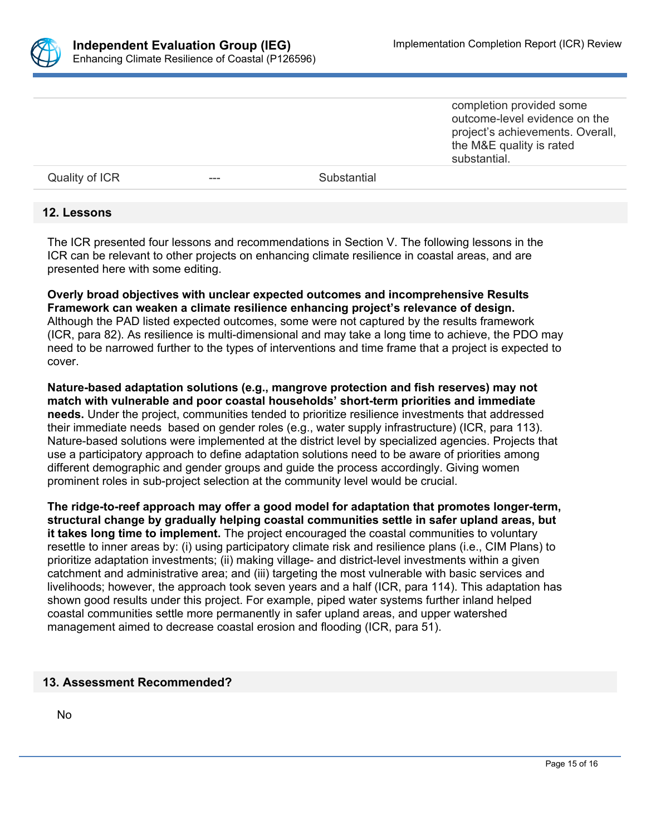

completion provided some outcome-level evidence on the project's achievements. Overall, the M&E quality is rated substantial.

Quality of ICR **---** Substantial

#### **12. Lessons**

The ICR presented four lessons and recommendations in Section V. The following lessons in the ICR can be relevant to other projects on enhancing climate resilience in coastal areas, and are presented here with some editing.

**Overly broad objectives with unclear expected outcomes and incomprehensive Results Framework can weaken a climate resilience enhancing project's relevance of design.** Although the PAD listed expected outcomes, some were not captured by the results framework (ICR, para 82). As resilience is multi-dimensional and may take a long time to achieve, the PDO may need to be narrowed further to the types of interventions and time frame that a project is expected to cover.

**Nature-based adaptation solutions (e.g., mangrove protection and fish reserves) may not match with vulnerable and poor coastal households' short-term priorities and immediate needs.** Under the project, communities tended to prioritize resilience investments that addressed their immediate needs based on gender roles (e.g., water supply infrastructure) (ICR, para 113). Nature-based solutions were implemented at the district level by specialized agencies. Projects that use a participatory approach to define adaptation solutions need to be aware of priorities among different demographic and gender groups and guide the process accordingly. Giving women prominent roles in sub-project selection at the community level would be crucial.

**The ridge-to-reef approach may offer a good model for adaptation that promotes longer-term, structural change by gradually helping coastal communities settle in safer upland areas, but it takes long time to implement.** The project encouraged the coastal communities to voluntary resettle to inner areas by: (i) using participatory climate risk and resilience plans (i.e., CIM Plans) to prioritize adaptation investments; (ii) making village- and district-level investments within a given catchment and administrative area; and (iii) targeting the most vulnerable with basic services and livelihoods; however, the approach took seven years and a half (ICR, para 114). This adaptation has shown good results under this project. For example, piped water systems further inland helped coastal communities settle more permanently in safer upland areas, and upper watershed management aimed to decrease coastal erosion and flooding (ICR, para 51).

#### **13. Assessment Recommended?**

No